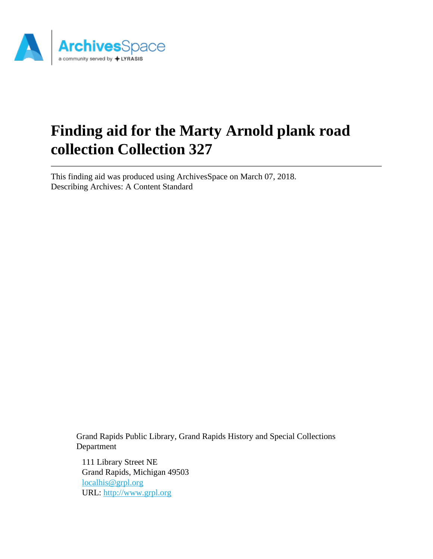

# **Finding aid for the Marty Arnold plank road collection Collection 327**

This finding aid was produced using ArchivesSpace on March 07, 2018. Describing Archives: A Content Standard

> Grand Rapids Public Library, Grand Rapids History and Special Collections Department

111 Library Street NE Grand Rapids, Michigan 49503 [localhis@grpl.org](mailto:localhis@grpl.org) URL:<http://www.grpl.org>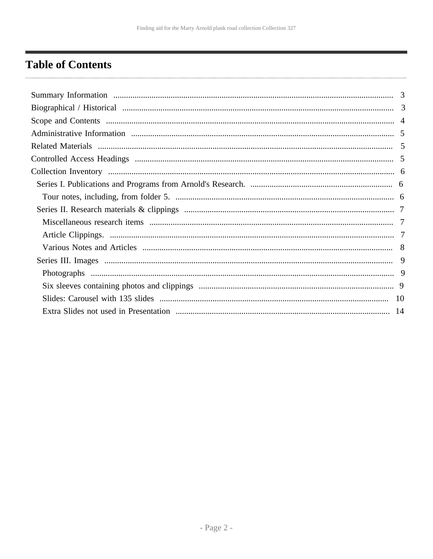# <span id="page-1-0"></span>**Table of Contents**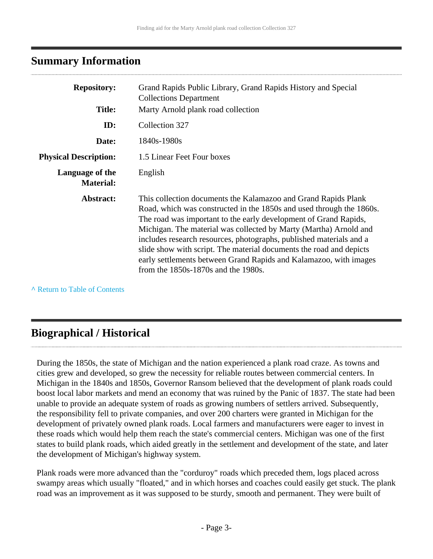# <span id="page-2-0"></span>**Summary Information**

| <b>Repository:</b>                  | Grand Rapids Public Library, Grand Rapids History and Special<br><b>Collections Department</b>                                                                                                                                                                                                                                                                                                                                                                                                                                              |
|-------------------------------------|---------------------------------------------------------------------------------------------------------------------------------------------------------------------------------------------------------------------------------------------------------------------------------------------------------------------------------------------------------------------------------------------------------------------------------------------------------------------------------------------------------------------------------------------|
| <b>Title:</b>                       | Marty Arnold plank road collection                                                                                                                                                                                                                                                                                                                                                                                                                                                                                                          |
| ID:                                 | Collection 327                                                                                                                                                                                                                                                                                                                                                                                                                                                                                                                              |
| Date:                               | 1840s-1980s                                                                                                                                                                                                                                                                                                                                                                                                                                                                                                                                 |
| <b>Physical Description:</b>        | 1.5 Linear Feet Four boxes                                                                                                                                                                                                                                                                                                                                                                                                                                                                                                                  |
| Language of the<br><b>Material:</b> | English                                                                                                                                                                                                                                                                                                                                                                                                                                                                                                                                     |
| Abstract:                           | This collection documents the Kalamazoo and Grand Rapids Plank<br>Road, which was constructed in the 1850s and used through the 1860s.<br>The road was important to the early development of Grand Rapids,<br>Michigan. The material was collected by Marty (Martha) Arnold and<br>includes research resources, photographs, published materials and a<br>slide show with script. The material documents the road and depicts<br>early settlements between Grand Rapids and Kalamazoo, with images<br>from the $1850s-1870s$ and the 1980s. |

**^** [Return to Table of Contents](#page-1-0)

# <span id="page-2-1"></span>**Biographical / Historical**

During the 1850s, the state of Michigan and the nation experienced a plank road craze. As towns and cities grew and developed, so grew the necessity for reliable routes between commercial centers. In Michigan in the 1840s and 1850s, Governor Ransom believed that the development of plank roads could boost local labor markets and mend an economy that was ruined by the Panic of 1837. The state had been unable to provide an adequate system of roads as growing numbers of settlers arrived. Subsequently, the responsibility fell to private companies, and over 200 charters were granted in Michigan for the development of privately owned plank roads. Local farmers and manufacturers were eager to invest in these roads which would help them reach the state's commercial centers. Michigan was one of the first states to build plank roads, which aided greatly in the settlement and development of the state, and later the development of Michigan's highway system.

Plank roads were more advanced than the "corduroy" roads which preceded them, logs placed across swampy areas which usually "floated," and in which horses and coaches could easily get stuck. The plank road was an improvement as it was supposed to be sturdy, smooth and permanent. They were built of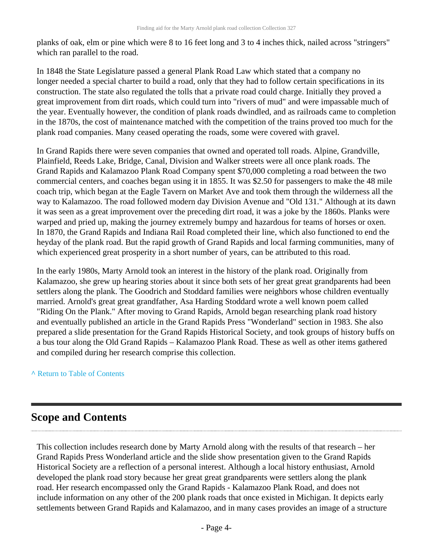planks of oak, elm or pine which were 8 to 16 feet long and 3 to 4 inches thick, nailed across "stringers" which ran parallel to the road.

In 1848 the State Legislature passed a general Plank Road Law which stated that a company no longer needed a special charter to build a road, only that they had to follow certain specifications in its construction. The state also regulated the tolls that a private road could charge. Initially they proved a great improvement from dirt roads, which could turn into "rivers of mud" and were impassable much of the year. Eventually however, the condition of plank roads dwindled, and as railroads came to completion in the 1870s, the cost of maintenance matched with the competition of the trains proved too much for the plank road companies. Many ceased operating the roads, some were covered with gravel.

In Grand Rapids there were seven companies that owned and operated toll roads. Alpine, Grandville, Plainfield, Reeds Lake, Bridge, Canal, Division and Walker streets were all once plank roads. The Grand Rapids and Kalamazoo Plank Road Company spent \$70,000 completing a road between the two commercial centers, and coaches began using it in 1855. It was \$2.50 for passengers to make the 48 mile coach trip, which began at the Eagle Tavern on Market Ave and took them through the wilderness all the way to Kalamazoo. The road followed modern day Division Avenue and "Old 131." Although at its dawn it was seen as a great improvement over the preceding dirt road, it was a joke by the 1860s. Planks were warped and pried up, making the journey extremely bumpy and hazardous for teams of horses or oxen. In 1870, the Grand Rapids and Indiana Rail Road completed their line, which also functioned to end the heyday of the plank road. But the rapid growth of Grand Rapids and local farming communities, many of which experienced great prosperity in a short number of years, can be attributed to this road.

In the early 1980s, Marty Arnold took an interest in the history of the plank road. Originally from Kalamazoo, she grew up hearing stories about it since both sets of her great great grandparents had been settlers along the plank. The Goodrich and Stoddard families were neighbors whose children eventually married. Arnold's great great grandfather, Asa Harding Stoddard wrote a well known poem called "Riding On the Plank." After moving to Grand Rapids, Arnold began researching plank road history and eventually published an article in the Grand Rapids Press "Wonderland" section in 1983. She also prepared a slide presentation for the Grand Rapids Historical Society, and took groups of history buffs on a bus tour along the Old Grand Rapids – Kalamazoo Plank Road. These as well as other items gathered and compiled during her research comprise this collection.

#### **^** [Return to Table of Contents](#page-1-0)

# <span id="page-3-0"></span>**Scope and Contents**

This collection includes research done by Marty Arnold along with the results of that research – her Grand Rapids Press Wonderland article and the slide show presentation given to the Grand Rapids Historical Society are a reflection of a personal interest. Although a local history enthusiast, Arnold developed the plank road story because her great great grandparents were settlers along the plank road. Her research encompassed only the Grand Rapids - Kalamazoo Plank Road, and does not include information on any other of the 200 plank roads that once existed in Michigan. It depicts early settlements between Grand Rapids and Kalamazoo, and in many cases provides an image of a structure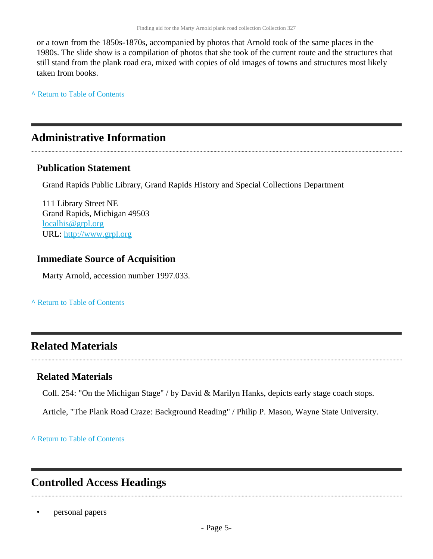or a town from the 1850s-1870s, accompanied by photos that Arnold took of the same places in the 1980s. The slide show is a compilation of photos that she took of the current route and the structures that still stand from the plank road era, mixed with copies of old images of towns and structures most likely taken from books.

**^** [Return to Table of Contents](#page-1-0)

# <span id="page-4-0"></span>**Administrative Information**

### **Publication Statement**

Grand Rapids Public Library, Grand Rapids History and Special Collections Department

111 Library Street NE Grand Rapids, Michigan 49503 [localhis@grpl.org](mailto:localhis@grpl.org) URL:<http://www.grpl.org>

### **Immediate Source of Acquisition**

Marty Arnold, accession number 1997.033.

**^** [Return to Table of Contents](#page-1-0)

# <span id="page-4-1"></span>**Related Materials**

### **Related Materials**

Coll. 254: "On the Michigan Stage" / by David & Marilyn Hanks, depicts early stage coach stops.

Article, "The Plank Road Craze: Background Reading" / Philip P. Mason, Wayne State University.

**^** [Return to Table of Contents](#page-1-0)

# <span id="page-4-2"></span>**Controlled Access Headings**

• personal papers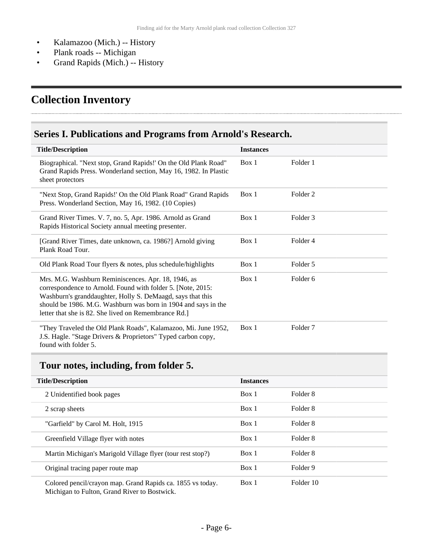- Kalamazoo (Mich.) -- History
- Plank roads -- Michigan
- Grand Rapids (Mich.) -- History

# <span id="page-5-0"></span>**Collection Inventory**

## <span id="page-5-1"></span>**Series I. Publications and Programs from Arnold's Research.**

| <b>Title/Description</b>                                                                                                                                                                                                                                                                                   | <b>Instances</b> |                     |
|------------------------------------------------------------------------------------------------------------------------------------------------------------------------------------------------------------------------------------------------------------------------------------------------------------|------------------|---------------------|
| Biographical. "Next stop, Grand Rapids!' On the Old Plank Road"<br>Grand Rapids Press. Wonderland section, May 16, 1982. In Plastic<br>sheet protectors                                                                                                                                                    | Box 1            | Folder 1            |
| "Next Stop, Grand Rapids!' On the Old Plank Road" Grand Rapids<br>Press. Wonderland Section, May 16, 1982. (10 Copies)                                                                                                                                                                                     | Box 1            | Folder <sub>2</sub> |
| Grand River Times. V. 7, no. 5, Apr. 1986. Arnold as Grand<br>Rapids Historical Society annual meeting presenter.                                                                                                                                                                                          | Box 1            | Folder 3            |
| [Grand River Times, date unknown, ca. 1986?] Arnold giving<br>Plank Road Tour.                                                                                                                                                                                                                             | Box 1            | Folder 4            |
| Old Plank Road Tour flyers & notes, plus schedule/highlights                                                                                                                                                                                                                                               | Box 1            | Folder 5            |
| Mrs. M.G. Washburn Reminiscences. Apr. 18, 1946, as<br>correspondence to Arnold. Found with folder 5. [Note, 2015:<br>Washburn's granddaughter, Holly S. DeMaagd, says that this<br>should be 1986. M.G. Washburn was born in 1904 and says in the<br>letter that she is 82. She lived on Remembrance Rd.] | Box 1            | Folder <sub>6</sub> |
| "They Traveled the Old Plank Roads", Kalamazoo, Mi. June 1952,<br>J.S. Hagle. "Stage Drivers & Proprietors" Typed carbon copy,<br>found with folder 5.                                                                                                                                                     | Box 1            | Folder <sub>7</sub> |

## <span id="page-5-2"></span>**Tour notes, including, from folder 5.**

| <b>Title/Description</b>                                                                                   | <b>Instances</b> |           |
|------------------------------------------------------------------------------------------------------------|------------------|-----------|
| 2 Unidentified book pages                                                                                  | Box 1            | Folder 8  |
| 2 scrap sheets                                                                                             | Box 1            | Folder 8  |
| "Garfield" by Carol M. Holt, 1915                                                                          | Box 1            | Folder 8  |
| Greenfield Village flyer with notes                                                                        | Box 1            | Folder 8  |
| Martin Michigan's Marigold Village flyer (tour rest stop?)                                                 | Box 1            | Folder 8  |
| Original tracing paper route map                                                                           | Box 1            | Folder 9  |
| Colored pencil/crayon map. Grand Rapids ca. 1855 vs today.<br>Michigan to Fulton, Grand River to Bostwick. | Box 1            | Folder 10 |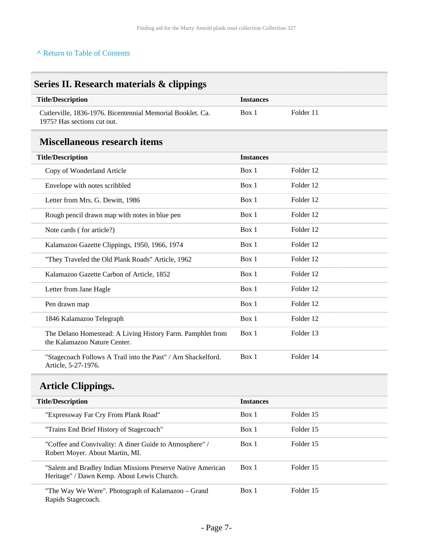#### **^** [Return to Table of Contents](#page-1-0)

<span id="page-6-2"></span>Rapids Stagecoach.

<span id="page-6-1"></span><span id="page-6-0"></span>

| <b>Title/Description</b>                                                                                  | <b>Instances</b> |           |
|-----------------------------------------------------------------------------------------------------------|------------------|-----------|
| Cutlerville, 1836-1976. Bicentennial Memorial Booklet. Ca.<br>1975? Has sections cut out.                 | Box 1            | Folder 11 |
| <b>Miscellaneous research items</b>                                                                       |                  |           |
| <b>Title/Description</b>                                                                                  | <b>Instances</b> |           |
| Copy of Wonderland Article                                                                                | Box 1            | Folder 12 |
| Envelope with notes scribbled                                                                             | Box 1            | Folder 12 |
| Letter from Mrs. G. Dewitt, 1986                                                                          | Box 1            | Folder 12 |
| Rough pencil drawn map with notes in blue pen                                                             | Box 1            | Folder 12 |
| Note cards (for article?)                                                                                 | Box 1            | Folder 12 |
| Kalamazoo Gazette Clippings, 1950, 1966, 1974                                                             | Box 1            | Folder 12 |
| "They Traveled the Old Plank Roads" Article, 1962                                                         | Box 1            | Folder 12 |
| Kalamazoo Gazette Carbon of Article, 1852                                                                 | Box 1            | Folder 12 |
| Letter from Jane Hagle                                                                                    | Box 1            | Folder 12 |
| Pen drawn map                                                                                             | Box 1            | Folder 12 |
| 1846 Kalamazoo Telegraph                                                                                  | Box 1            | Folder 12 |
| The Delano Homestead: A Living History Farm. Pamphlet from<br>the Kalamazoo Nature Center.                | Box 1            | Folder 13 |
| "Stagecoach Follows A Trail into the Past" / Arn Shackelford.<br>Article, 5-27-1976.                      | Box 1            | Folder 14 |
| <b>Article Clippings.</b>                                                                                 |                  |           |
| <b>Title/Description</b>                                                                                  | <b>Instances</b> |           |
| "Expressway Far Cry From Plank Road"                                                                      | Box 1            | Folder 15 |
| "Trains End Brief History of Stagecoach"                                                                  | Box 1            | Folder 15 |
| "Coffee and Convivality: A diner Guide to Atmosphere" /<br>Robert Moyer. About Martin, MI.                | Box 1            | Folder 15 |
| "Salem and Bradley Indian Missions Preserve Native American<br>Heritage" / Dawn Kemp. About Lewis Church. | Box 1            | Folder 15 |
| "The Way We Were". Photograph of Kalamazoo - Grand                                                        | Box 1            | Folder 15 |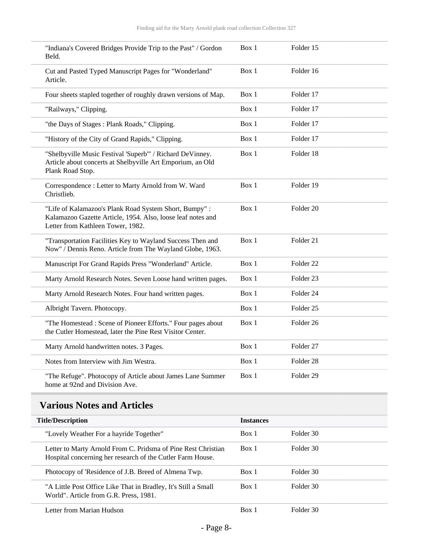| "Indiana's Covered Bridges Provide Trip to the Past" / Gordon<br>Beld.                                                                                    | Box 1 | Folder 15            |  |
|-----------------------------------------------------------------------------------------------------------------------------------------------------------|-------|----------------------|--|
| Cut and Pasted Typed Manuscript Pages for "Wonderland"<br>Article.                                                                                        | Box 1 | Folder 16            |  |
| Four sheets stapled together of roughly drawn versions of Map.                                                                                            | Box 1 | Folder 17            |  |
| "Railways," Clipping.                                                                                                                                     | Box 1 | Folder 17            |  |
| "the Days of Stages: Plank Roads," Clipping.                                                                                                              | Box 1 | Folder 17            |  |
| "History of the City of Grand Rapids," Clipping.                                                                                                          | Box 1 | Folder 17            |  |
| "Shelbyville Music Festival 'Superb'" / Richard DeVinney.<br>Article about concerts at Shelbyville Art Emporium, an Old<br>Plank Road Stop.               | Box 1 | Folder 18            |  |
| Correspondence : Letter to Marty Arnold from W. Ward<br>Christlieb.                                                                                       | Box 1 | Folder 19            |  |
| "Life of Kalamazoo's Plank Road System Short, Bumpy":<br>Kalamazoo Gazette Article, 1954. Also, loose leaf notes and<br>Letter from Kathleen Tower, 1982. | Box 1 | Folder 20            |  |
| "Transportation Facilities Key to Wayland Success Then and<br>Now" / Dennis Reno. Article from The Wayland Globe, 1963.                                   | Box 1 | Folder 21            |  |
| Manuscript For Grand Rapids Press "Wonderland" Article.                                                                                                   | Box 1 | Folder <sub>22</sub> |  |
| Marty Arnold Research Notes. Seven Loose hand written pages.                                                                                              | Box 1 | Folder 23            |  |
| Marty Arnold Research Notes. Four hand written pages.                                                                                                     | Box 1 | Folder <sub>24</sub> |  |
| Albright Tavern. Photocopy.                                                                                                                               | Box 1 | Folder <sub>25</sub> |  |
| "The Homestead : Scene of Pioneer Efforts." Four pages about<br>the Cutler Homestead, later the Pine Rest Visitor Center.                                 | Box 1 | Folder <sub>26</sub> |  |
| Marty Arnold handwritten notes. 3 Pages.                                                                                                                  | Box 1 | Folder <sub>27</sub> |  |
| Notes from Interview with Jim Westra.                                                                                                                     | Box 1 | Folder <sub>28</sub> |  |
| "The Refuge". Photocopy of Article about James Lane Summer<br>home at 92nd and Division Ave.                                                              | Box 1 | Folder <sub>29</sub> |  |

<span id="page-7-0"></span>

| <b>Title/Description</b>                                                                                                    | <b>Instances</b> |           |
|-----------------------------------------------------------------------------------------------------------------------------|------------------|-----------|
| "Lovely Weather For a hayride Together"                                                                                     | Box 1            | Folder 30 |
| Letter to Marty Arnold From C. Pridsma of Pine Rest Christian<br>Hospital concerning her research of the Cutler Farm House. | Box 1            | Folder 30 |
| Photocopy of 'Residence of J.B. Breed of Almena Twp.                                                                        | Box 1            | Folder 30 |
| "A Little Post Office Like That in Bradley, It's Still a Small<br>World". Article from G.R. Press, 1981.                    | Box 1            | Folder 30 |
| Letter from Marian Hudson                                                                                                   | Box 1            | Folder 30 |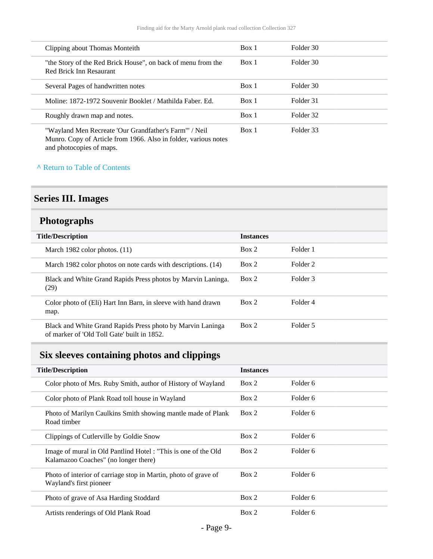| Clipping about Thomas Monteith                                                                                           | Box 1 | Folder 30 |
|--------------------------------------------------------------------------------------------------------------------------|-------|-----------|
| "the Story of the Red Brick House", on back of menu from the<br>Red Brick Inn Resaurant                                  | Box 1 | Folder 30 |
| Several Pages of handwritten notes                                                                                       | Box 1 | Folder 30 |
| Moline: 1872-1972 Souvenir Booklet / Mathilda Faber, Ed.                                                                 | Box 1 | Folder 31 |
| Roughly drawn map and notes.                                                                                             | Box 1 | Folder 32 |
| "Wayland Men Recreate 'Our Grandfather's Farm'" / Neil<br>Munro, Conv of Article from 1966, Also in folder verious notes | Box 1 | Folder 33 |

Munro. Copy of Article from 1966. Also in folder, various notes and photocopies of maps.

### **^** [Return to Table of Contents](#page-1-0)

## <span id="page-8-0"></span>**Series III. Images**

## <span id="page-8-1"></span>**Photographs**

| <b>Title/Description</b>                                                                                  | <b>Instances</b> |                     |
|-----------------------------------------------------------------------------------------------------------|------------------|---------------------|
| March 1982 color photos. (11)                                                                             | Box 2            | Folder 1            |
| March 1982 color photos on note cards with descriptions. (14)                                             | Box 2            | Folder <sub>2</sub> |
| Black and White Grand Rapids Press photos by Marvin Laninga.<br>(29)                                      | Box 2            | Folder 3            |
| Color photo of (Eli) Hart Inn Barn, in sleeve with hand drawn<br>map.                                     | Box 2            | Folder 4            |
| Black and White Grand Rapids Press photo by Marvin Laninga<br>of marker of 'Old Toll Gate' built in 1852. | Box 2            | Folder 5            |

# <span id="page-8-2"></span>**Six sleeves containing photos and clippings**

| <b>Title/Description</b>                                                                              | <b>Instances</b> |          |
|-------------------------------------------------------------------------------------------------------|------------------|----------|
| Color photo of Mrs. Ruby Smith, author of History of Wayland                                          | Box 2            | Folder 6 |
| Color photo of Plank Road toll house in Wayland                                                       | Box 2            | Folder 6 |
| Photo of Marilyn Caulkins Smith showing mantle made of Plank<br>Road timber                           | Box 2            | Folder 6 |
| Clippings of Cutlerville by Goldie Snow                                                               | Box 2            | Folder 6 |
| Image of mural in Old Pantlind Hotel: "This is one of the Old<br>Kalamazoo Coaches" (no longer there) | Box 2            | Folder 6 |
| Photo of interior of carriage stop in Martin, photo of grave of<br>Wayland's first pioneer            | Box 2            | Folder 6 |
| Photo of grave of Asa Harding Stoddard                                                                | Box 2            | Folder 6 |
| Artists renderings of Old Plank Road                                                                  | Box 2            | Folder 6 |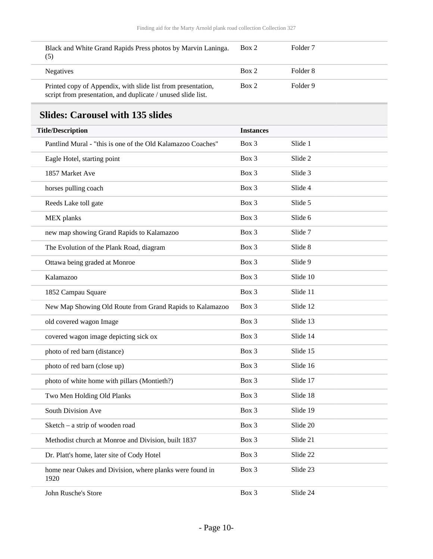| (5)              | Black and White Grand Rapids Press photos by Marvin Laninga.                                                                 | Box 2 | Folder <sub>7</sub> |
|------------------|------------------------------------------------------------------------------------------------------------------------------|-------|---------------------|
| <b>Negatives</b> |                                                                                                                              | Box 2 | Folder 8            |
|                  | Printed copy of Appendix, with slide list from presentation,<br>script from presentation, and duplicate / unused slide list. | Box 2 | Folder 9            |

# <span id="page-9-0"></span>**Slides: Carousel with 135 slides**

| <b>Title/Description</b>                                         | <b>Instances</b> |          |
|------------------------------------------------------------------|------------------|----------|
| Pantlind Mural - "this is one of the Old Kalamazoo Coaches"      | Box 3            | Slide 1  |
| Eagle Hotel, starting point                                      | Box 3            | Slide 2  |
| 1857 Market Ave                                                  | Box 3            | Slide 3  |
| horses pulling coach                                             | $Box$ 3          | Slide 4  |
| Reeds Lake toll gate                                             | Box 3            | Slide 5  |
| MEX planks                                                       | Box 3            | Slide 6  |
| new map showing Grand Rapids to Kalamazoo                        | Box 3            | Slide 7  |
| The Evolution of the Plank Road, diagram                         | Box 3            | Slide 8  |
| Ottawa being graded at Monroe                                    | Box 3            | Slide 9  |
| Kalamazoo                                                        | Box 3            | Slide 10 |
| 1852 Campau Square                                               | Box 3            | Slide 11 |
| New Map Showing Old Route from Grand Rapids to Kalamazoo         | Box 3            | Slide 12 |
| old covered wagon Image                                          | Box 3            | Slide 13 |
| covered wagon image depicting sick ox                            | Box 3            | Slide 14 |
| photo of red barn (distance)                                     | Box 3            | Slide 15 |
| photo of red barn (close up)                                     | Box 3            | Slide 16 |
| photo of white home with pillars (Montieth?)                     | Box 3            | Slide 17 |
| Two Men Holding Old Planks                                       | Box 3            | Slide 18 |
| South Division Ave                                               | Box 3            | Slide 19 |
| Sketch - a strip of wooden road                                  | Box 3            | Slide 20 |
| Methodist church at Monroe and Division, built 1837              | Box 3            | Slide 21 |
| Dr. Platt's home, later site of Cody Hotel                       | Box 3            | Slide 22 |
| home near Oakes and Division, where planks were found in<br>1920 | Box 3            | Slide 23 |
| John Rusche's Store                                              | Box 3            | Slide 24 |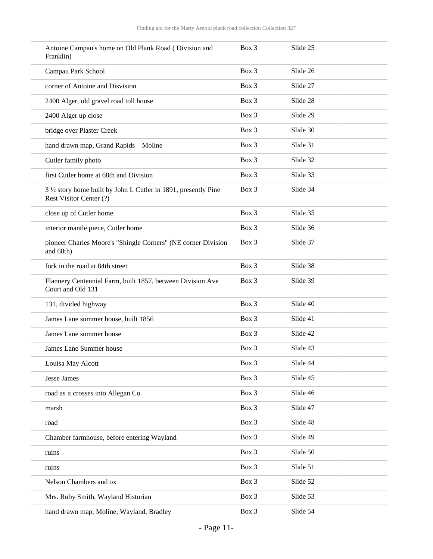| Antoine Campau's home on Old Plank Road (Division and<br>Franklin)                          | $Box$ 3 | Slide 25 |  |
|---------------------------------------------------------------------------------------------|---------|----------|--|
| Campau Park School                                                                          | Box 3   | Slide 26 |  |
| corner of Antoine and Disvision                                                             | Box 3   | Slide 27 |  |
| 2400 Alger, old gravel road toll house                                                      | Box 3   | Slide 28 |  |
| 2400 Alger up close                                                                         | Box 3   | Slide 29 |  |
| bridge over Plaster Creek                                                                   | Box 3   | Slide 30 |  |
| hand drawn map, Grand Rapids - Moline                                                       | Box 3   | Slide 31 |  |
| Cutler family photo                                                                         | Box 3   | Slide 32 |  |
| first Cutler home at 68th and Division                                                      | Box 3   | Slide 33 |  |
| 3 1/2 story home built by John I. Cutler in 1891, presently Pine<br>Rest Visitor Center (?) | Box 3   | Slide 34 |  |
| close up of Cutler home                                                                     | Box 3   | Slide 35 |  |
| interior mantle piece, Cutler home                                                          | Box 3   | Slide 36 |  |
| pioneer Charles Moore's "Shingle Corners" (NE corner Division<br>and 68th)                  | Box 3   | Slide 37 |  |
| fork in the road at 84th street                                                             | Box 3   | Slide 38 |  |
| Flannery Centennial Farm, built 1857, between Division Ave<br>Court and Old 131             | Box 3   | Slide 39 |  |
| 131, divided highway                                                                        | Box 3   | Slide 40 |  |
| James Lane summer house, built 1856                                                         | Box 3   | Slide 41 |  |
| James Lane summer house                                                                     | Box 3   | Slide 42 |  |
| James Lane Summer house                                                                     | Box 3   | Slide 43 |  |
| Louisa May Alcott                                                                           | Box 3   | Slide 44 |  |
| <b>Jesse James</b>                                                                          | Box 3   | Slide 45 |  |
| road as it crosses into Allegan Co.                                                         | Box 3   | Slide 46 |  |
| marsh                                                                                       | Box 3   | Slide 47 |  |
| road                                                                                        | Box 3   | Slide 48 |  |
| Chamber farmhouse, before entering Wayland                                                  | Box 3   | Slide 49 |  |
| ruins                                                                                       | Box 3   | Slide 50 |  |
| ruins                                                                                       | Box 3   | Slide 51 |  |
| Nelson Chambers and ox                                                                      | Box 3   | Slide 52 |  |
| Mrs. Ruby Smith, Wayland Historian                                                          | Box 3   | Slide 53 |  |
| hand drawn map, Moline, Wayland, Bradley                                                    | Box 3   | Slide 54 |  |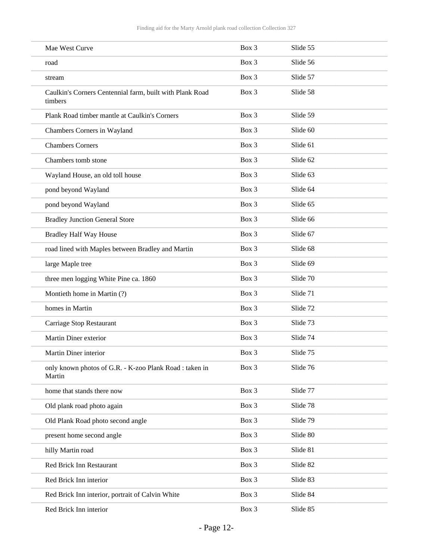| Mae West Curve                                                      | Box 3   | Slide 55 |  |
|---------------------------------------------------------------------|---------|----------|--|
| road                                                                | Box 3   | Slide 56 |  |
| stream                                                              | Box 3   | Slide 57 |  |
| Caulkin's Corners Centennial farm, built with Plank Road<br>timbers | Box 3   | Slide 58 |  |
| Plank Road timber mantle at Caulkin's Corners                       | Box 3   | Slide 59 |  |
| Chambers Corners in Wayland                                         | Box 3   | Slide 60 |  |
| <b>Chambers Corners</b>                                             | Box 3   | Slide 61 |  |
| Chambers tomb stone                                                 | Box 3   | Slide 62 |  |
| Wayland House, an old toll house                                    | Box 3   | Slide 63 |  |
| pond beyond Wayland                                                 | Box 3   | Slide 64 |  |
| pond beyond Wayland                                                 | Box 3   | Slide 65 |  |
| <b>Bradley Junction General Store</b>                               | Box 3   | Slide 66 |  |
| <b>Bradley Half Way House</b>                                       | Box 3   | Slide 67 |  |
| road lined with Maples between Bradley and Martin                   | Box 3   | Slide 68 |  |
| large Maple tree                                                    | Box 3   | Slide 69 |  |
| three men logging White Pine ca. 1860                               | Box 3   | Slide 70 |  |
| Montieth home in Martin (?)                                         | Box 3   | Slide 71 |  |
| homes in Martin                                                     | Box 3   | Slide 72 |  |
| Carriage Stop Restaurant                                            | Box 3   | Slide 73 |  |
| Martin Diner exterior                                               | Box 3   | Slide 74 |  |
| Martin Diner interior                                               | $Box$ 3 | Slide 75 |  |
| only known photos of G.R. - K-zoo Plank Road : taken in<br>Martin   | Box 3   | Slide 76 |  |
| home that stands there now                                          | Box 3   | Slide 77 |  |
| Old plank road photo again                                          | Box 3   | Slide 78 |  |
| Old Plank Road photo second angle                                   | Box 3   | Slide 79 |  |
| present home second angle                                           | Box 3   | Slide 80 |  |
| hilly Martin road                                                   | Box 3   | Slide 81 |  |
| Red Brick Inn Restaurant                                            | Box 3   | Slide 82 |  |
| Red Brick Inn interior                                              | Box 3   | Slide 83 |  |
| Red Brick Inn interior, portrait of Calvin White                    | Box 3   | Slide 84 |  |
| Red Brick Inn interior                                              | Box 3   | Slide 85 |  |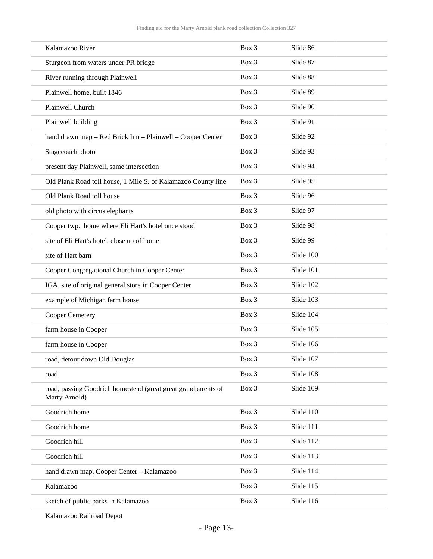| Kalamazoo River                                                                | Box 3 | Slide 86  |
|--------------------------------------------------------------------------------|-------|-----------|
| Sturgeon from waters under PR bridge                                           | Box 3 | Slide 87  |
| River running through Plainwell                                                | Box 3 | Slide 88  |
| Plainwell home, built 1846                                                     | Box 3 | Slide 89  |
| Plainwell Church                                                               | Box 3 | Slide 90  |
| Plainwell building                                                             | Box 3 | Slide 91  |
| hand drawn map - Red Brick Inn - Plainwell - Cooper Center                     | Box 3 | Slide 92  |
| Stagecoach photo                                                               | Box 3 | Slide 93  |
| present day Plainwell, same intersection                                       | Box 3 | Slide 94  |
| Old Plank Road toll house, 1 Mile S. of Kalamazoo County line                  | Box 3 | Slide 95  |
| Old Plank Road toll house                                                      | Box 3 | Slide 96  |
| old photo with circus elephants                                                | Box 3 | Slide 97  |
| Cooper twp., home where Eli Hart's hotel once stood                            | Box 3 | Slide 98  |
| site of Eli Hart's hotel, close up of home                                     | Box 3 | Slide 99  |
| site of Hart barn                                                              | Box 3 | Slide 100 |
| Cooper Congregational Church in Cooper Center                                  | Box 3 | Slide 101 |
| IGA, site of original general store in Cooper Center                           | Box 3 | Slide 102 |
| example of Michigan farm house                                                 | Box 3 | Slide 103 |
| Cooper Cemetery                                                                | Box 3 | Slide 104 |
| farm house in Cooper                                                           | Box 3 | Slide 105 |
| farm house in Cooper                                                           | Box 3 | Slide 106 |
| road, detour down Old Douglas                                                  | Box 3 | Slide 107 |
| road                                                                           | Box 3 | Slide 108 |
| road, passing Goodrich homestead (great great grandparents of<br>Marty Arnold) | Box 3 | Slide 109 |
| Goodrich home                                                                  | Box 3 | Slide 110 |
| Goodrich home                                                                  | Box 3 | Slide 111 |
| Goodrich hill                                                                  | Box 3 | Slide 112 |
| Goodrich hill                                                                  | Box 3 | Slide 113 |
| hand drawn map, Cooper Center - Kalamazoo                                      | Box 3 | Slide 114 |
| Kalamazoo                                                                      | Box 3 | Slide 115 |
| sketch of public parks in Kalamazoo                                            | Box 3 | Slide 116 |
|                                                                                |       |           |

Kalamazoo Railroad Depot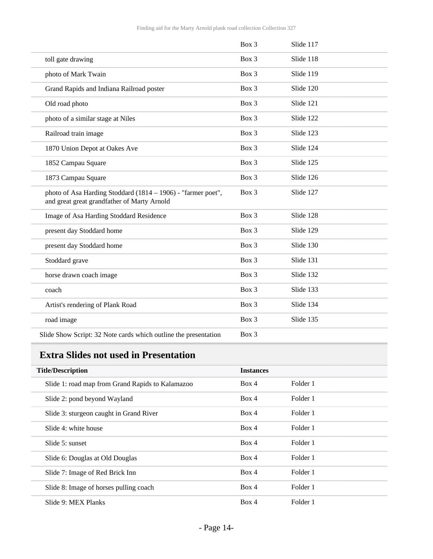|                                                                                                             | Box 3   | Slide 117 |  |
|-------------------------------------------------------------------------------------------------------------|---------|-----------|--|
| toll gate drawing                                                                                           | Box 3   | Slide 118 |  |
| photo of Mark Twain                                                                                         | Box 3   | Slide 119 |  |
| Grand Rapids and Indiana Railroad poster                                                                    | Box 3   | Slide 120 |  |
| Old road photo                                                                                              | Box 3   | Slide 121 |  |
| photo of a similar stage at Niles                                                                           | Box 3   | Slide 122 |  |
| Railroad train image                                                                                        | Box 3   | Slide 123 |  |
| 1870 Union Depot at Oakes Ave                                                                               | Box 3   | Slide 124 |  |
| 1852 Campau Square                                                                                          | Box 3   | Slide 125 |  |
| 1873 Campau Square                                                                                          | Box 3   | Slide 126 |  |
| photo of Asa Harding Stoddard (1814 - 1906) - "farmer poet",<br>and great great grandfather of Marty Arnold | Box 3   | Slide 127 |  |
| Image of Asa Harding Stoddard Residence                                                                     | Box 3   | Slide 128 |  |
| present day Stoddard home                                                                                   | Box 3   | Slide 129 |  |
| present day Stoddard home                                                                                   | Box 3   | Slide 130 |  |
| Stoddard grave                                                                                              | Box 3   | Slide 131 |  |
| horse drawn coach image                                                                                     | $Box$ 3 | Slide 132 |  |
| coach                                                                                                       | Box 3   | Slide 133 |  |
| Artist's rendering of Plank Road                                                                            | Box 3   | Slide 134 |  |
| road image                                                                                                  | Box 3   | Slide 135 |  |
| Slide Show Script: 32 Note cards which outline the presentation                                             | Box 3   |           |  |

# <span id="page-13-0"></span>**Extra Slides not used in Presentation**

| <b>Title/Description</b>                         | <b>Instances</b> |          |  |
|--------------------------------------------------|------------------|----------|--|
| Slide 1: road map from Grand Rapids to Kalamazoo | Box 4            | Folder 1 |  |
| Slide 2: pond beyond Wayland                     | Box 4            | Folder 1 |  |
| Slide 3: sturgeon caught in Grand River          | Box 4            | Folder 1 |  |
| Slide 4: white house                             | Box 4            | Folder 1 |  |
| Slide 5: sunset                                  | Box 4            | Folder 1 |  |
| Slide 6: Douglas at Old Douglas                  | Box 4            | Folder 1 |  |
| Slide 7: Image of Red Brick Inn                  | Box 4            | Folder 1 |  |
| Slide 8: Image of horses pulling coach           | Box 4            | Folder 1 |  |
| Slide 9: MEX Planks                              | Box 4            | Folder 1 |  |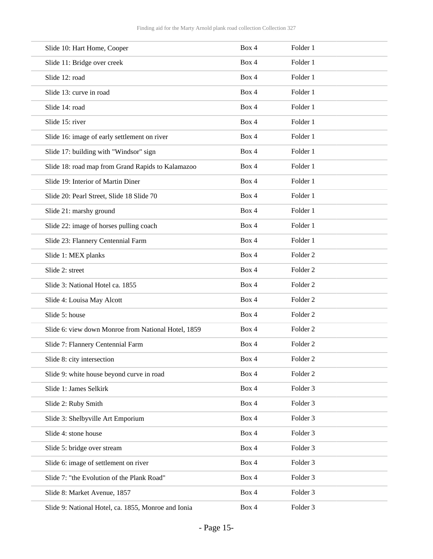| Slide 10: Hart Home, Cooper                         | Box 4 | Folder 1            |  |
|-----------------------------------------------------|-------|---------------------|--|
| Slide 11: Bridge over creek                         | Box 4 | Folder 1            |  |
| Slide 12: road                                      | Box 4 | Folder 1            |  |
| Slide 13: curve in road                             | Box 4 | Folder 1            |  |
| Slide 14: road                                      | Box 4 | Folder 1            |  |
| Slide 15: river                                     | Box 4 | Folder 1            |  |
| Slide 16: image of early settlement on river        | Box 4 | Folder 1            |  |
| Slide 17: building with "Windsor" sign              | Box 4 | Folder 1            |  |
| Slide 18: road map from Grand Rapids to Kalamazoo   | Box 4 | Folder 1            |  |
| Slide 19: Interior of Martin Diner                  | Box 4 | Folder 1            |  |
| Slide 20: Pearl Street, Slide 18 Slide 70           | Box 4 | Folder 1            |  |
| Slide 21: marshy ground                             | Box 4 | Folder 1            |  |
| Slide 22: image of horses pulling coach             | Box 4 | Folder 1            |  |
| Slide 23: Flannery Centennial Farm                  | Box 4 | Folder 1            |  |
| Slide 1: MEX planks                                 | Box 4 | Folder <sub>2</sub> |  |
| Slide 2: street                                     | Box 4 | Folder <sub>2</sub> |  |
| Slide 3: National Hotel ca. 1855                    | Box 4 | Folder <sub>2</sub> |  |
| Slide 4: Louisa May Alcott                          | Box 4 | Folder <sub>2</sub> |  |
| Slide 5: house                                      | Box 4 | Folder <sub>2</sub> |  |
| Slide 6: view down Monroe from National Hotel, 1859 | Box 4 | Folder <sub>2</sub> |  |
| Slide 7: Flannery Centennial Farm                   | Box 4 | Folder <sub>2</sub> |  |
| Slide 8: city intersection                          | Box 4 | Folder <sub>2</sub> |  |
| Slide 9: white house beyond curve in road           | Box 4 | Folder <sub>2</sub> |  |
| Slide 1: James Selkirk                              | Box 4 | Folder 3            |  |
| Slide 2: Ruby Smith                                 | Box 4 | Folder 3            |  |
| Slide 3: Shelbyville Art Emporium                   | Box 4 | Folder 3            |  |
| Slide 4: stone house                                | Box 4 | Folder 3            |  |
| Slide 5: bridge over stream                         | Box 4 | Folder 3            |  |
| Slide 6: image of settlement on river               | Box 4 | Folder 3            |  |
| Slide 7: "the Evolution of the Plank Road"          | Box 4 | Folder 3            |  |
| Slide 8: Market Avenue, 1857                        | Box 4 | Folder 3            |  |
| Slide 9: National Hotel, ca. 1855, Monroe and Ionia | Box 4 | Folder 3            |  |